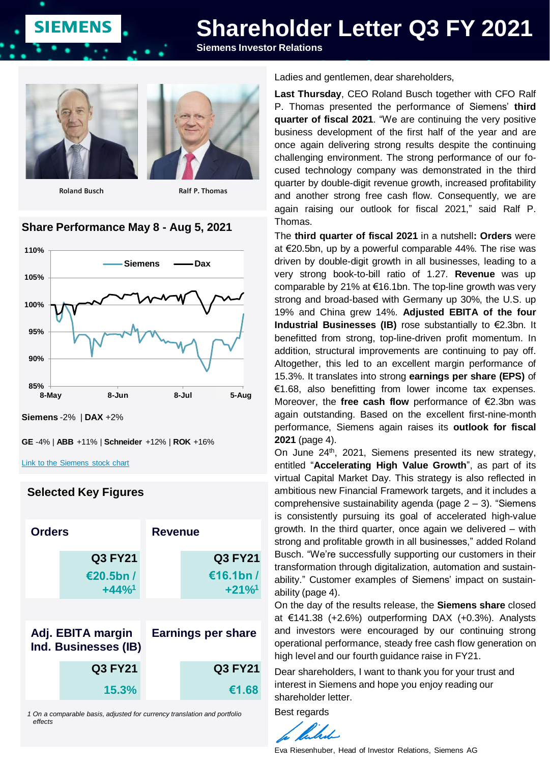# **Shareholder Letter Q3 FY 2021**

**Siemens Investor Relations**



**SIEMENS** 

**Roland Busch Ralf P. Thomas**



#### **Share Performance May 8 - Aug 5, 2021**



**Siemens** -2% | **DAX** +2%

```
GE -4% | ABB +11% | Schneider +12% | ROK +16%
```
[Link to the Siemens stock chart](https://www.siemens.com/investor/en/siemens_share.htm)

#### **Selected Key Figures**

| <b>Orders</b>                             |                                                    | Revenue                   |                                                     |
|-------------------------------------------|----------------------------------------------------|---------------------------|-----------------------------------------------------|
|                                           | <b>Q3 FY21</b><br>€20.5bn /<br>$+44%$ <sup>1</sup> |                           | <b>Q3 FY21</b><br>€16.1bn /<br>$+21\%$ <sup>1</sup> |
| Adj. EBITA margin<br>Ind. Businesses (IB) |                                                    | <b>Earnings per share</b> |                                                     |
|                                           | <b>Q3 FY21</b>                                     |                           | <b>Q3 FY21</b>                                      |
|                                           | 15.3%                                              |                           | €1.68                                               |

*1 On a comparable basis, adjusted for currency translation and portfolio effects*

Ladies and gentlemen, dear shareholders,

**Last Thursday**, CEO Roland Busch together with CFO Ralf P. Thomas presented the performance of Siemens' **third quarter of fiscal 2021**. "We are continuing the very positive business development of the first half of the year and are once again delivering strong results despite the continuing challenging environment. The strong performance of our focused technology company was demonstrated in the third quarter by double-digit revenue growth, increased profitability and another strong free cash flow. Consequently, we are again raising our outlook for fiscal 2021," said Ralf P. Thomas.

The **third quarter of fiscal 2021** in a nutshell**: Orders** were at €20.5bn, up by a powerful comparable 44%. The rise was driven by double-digit growth in all businesses, leading to a very strong book-to-bill ratio of 1.27. **Revenue** was up comparable by 21% at €16.1bn. The top-line growth was very strong and broad-based with Germany up 30%, the U.S. up 19% and China grew 14%. **Adjusted EBITA of the four Industrial Businesses (IB)** rose substantially to €2.3bn. It benefitted from strong, top-line-driven profit momentum. In addition, structural improvements are continuing to pay off. Altogether, this led to an excellent margin performance of 15.3%. It translates into strong **earnings per share (EPS)** of €1.68, also benefitting from lower income tax expenses. Moreover, the **free cash flow** performance of €2.3bn was again outstanding. Based on the excellent first-nine-month performance, Siemens again raises its **outlook for fiscal 2021** (page 4).

On June 24<sup>th</sup>, 2021, Siemens presented its new strategy, entitled "**Accelerating High Value Growth**", as part of its virtual Capital Market Day. This strategy is also reflected in ambitious new Financial Framework targets, and it includes a comprehensive sustainability agenda (page 2 – 3). "Siemens is consistently pursuing its goal of accelerated high-value growth. In the third quarter, once again we delivered – with strong and profitable growth in all businesses," added Roland Busch. "We're successfully supporting our customers in their transformation through digitalization, automation and sustainability." Customer examples of Siemens' impact on sustainability (page 4).

On the day of the results release, the **Siemens share** closed at €141.38 (+2.6%) outperforming DAX (+0.3%). Analysts and investors were encouraged by our continuing strong operational performance, steady free cash flow generation on high level and our fourth guidance raise in FY21.

Dear shareholders, I want to thank you for your trust and interest in Siemens and hope you enjoy reading our shareholder letter.

Best regards

 $\mathbb{Z}^{\prime}$ 

Eva Riesenhuber, Head of Investor Relations, Siemens AG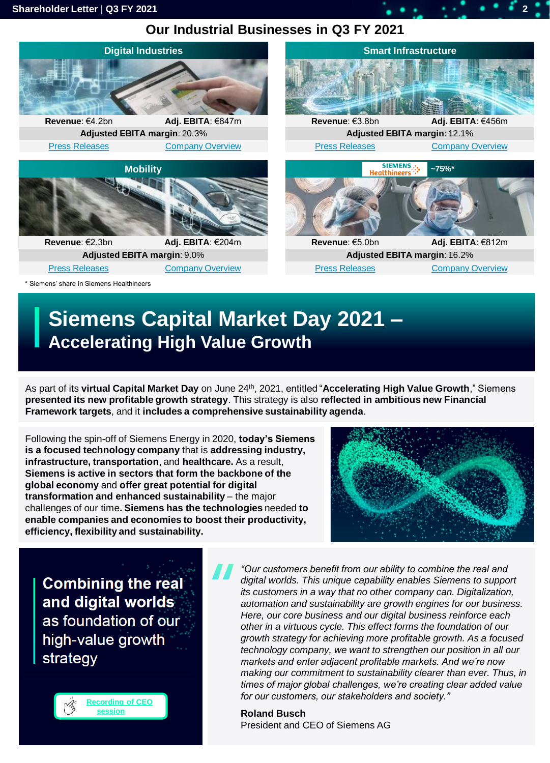# **Our Industrial Businesses in Q3 FY 2021**



# **Siemens Capital Market Day 2021 – Accelerating High Value Growth**

As part of its **virtual Capital Market Day** on June 24th, 2021, entitled "**Accelerating High Value Growth**," Siemens **presented its new profitable growth strategy**. This strategy is also **reflected in ambitious new Financial Framework targets**, and it **includes a comprehensive sustainability agenda**.

Following the spin-off of Siemens Energy in 2020, **today's Siemens is a focused technology company** that is **addressing industry, infrastructure, transportation**, and **healthcare.** As a result, **Siemens is active in sectors that form the backbone of the global economy** and **offer great potential for digital transformation and enhanced sustainability** – the major challenges of our time**. Siemens has the technologies** needed **to enable companies and economies to boost their productivity, efficiency, flexibility and sustainability.** 



**Combining the real** and digital worlds as foundation of our high-value growth strategy



*"Our customers benefit from our ability to combine the real and digital worlds. This unique capability enables Siemens to support its customers in a way that no other company can. Digitalization, automation and sustainability are growth engines for our business. Here, our core business and our digital business reinforce each other in a virtuous cycle. This effect forms the foundation of our growth strategy for achieving more profitable growth. As a focused technology company, we want to strengthen our position in all our markets and enter adjacent profitable markets. And we're now making our commitment to sustainability clearer than ever. Thus, in times of major global challenges, we're creating clear added value for our customers, our stakeholders and society."*

**Roland Busch** President and CEO of Siemens AG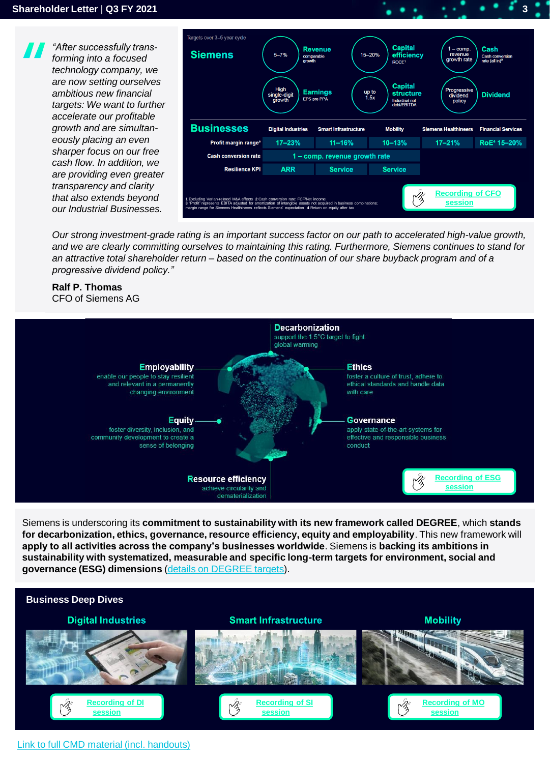-<br>Targets over 3–5 year cycle *"After successfully trans-***Capital Revenue Siemens**  $5 - 7%$ 15-20% **efficiency** *forming into a focused technology company, we are now setting ourselves*  **Capital** High *ambitious new financial*  **Earnings** up to  $1.5x$ structure single FPS are PPA arowt Industrial net<br>debt/EBITDA *targets: We want to further accelerate our profitable*  **Businesses** *growth and are simultan-***Digital Industries Smart Infrastructure Mobility Siemens Healthineers** *eously placing an even*   $17 - 23%$  $10 - 13%$ Profit margin range<sup>®</sup> 11-16%  $17 - 21%$ *sharper focus on our free*  **Cash conversion rate** 1 - comp. revenue growth rate *cash flow. In addition, we*  **ARR Resilience KPI Service Service** *are providing even greater transparency and clarity*  **[Recording of CFO](https://players.brightcove.net/1813624294001/f83fb7f6-75c0-411c-872c-ab6095a19211_default/index.html?videoId=6260984750001)**  *that also extends beyond*  **1** Excluding Varian-related M&A effects **2** Cash conversion rate: FCF/Net income **session 3** "Profit" represents EBITA adjusted for amortization of intangible assets not acquired in business combinations; *our Industrial Businesses.* margin range for Siemens Healthineers reflects Siemens' expectation **4** Return on equity after tax

Cash

**Dividend** 

**Financial Services** 

RoE<sup>4</sup> 15-20%

*Our strong investment-grade rating is an important success factor on our path to accelerated high-value growth, and we are clearly committing ourselves to maintaining this rating. Furthermore, Siemens continues to stand for an attractive total shareholder return – based on the continuation of our share buyback program and of a progressive dividend policy."*

#### **Ralf P. Thomas** CFO of Siemens AG



Siemens is underscoring its **commitment to sustainability with its new framework called DEGREE**, which **stands for decarbonization, ethics, governance, resource efficiency, equity and employability**. This new framework will **apply to all activities across the company's businesses worldwide**. Siemens is **backing its ambitions in sustainability with systematized, measurable and specific long-term targets for environment, social and governance (ESG) dimensions** ([details on DEGREE targets](https://new.siemens.com/global/en/company/sustainability.html#DEGREE)).



#### [Link to full CMD material \(incl. handouts\)](https://new.siemens.com/global/en/company/investor-relations/events-publications-ad-hoc.html#IREventsandConferencePresentations)